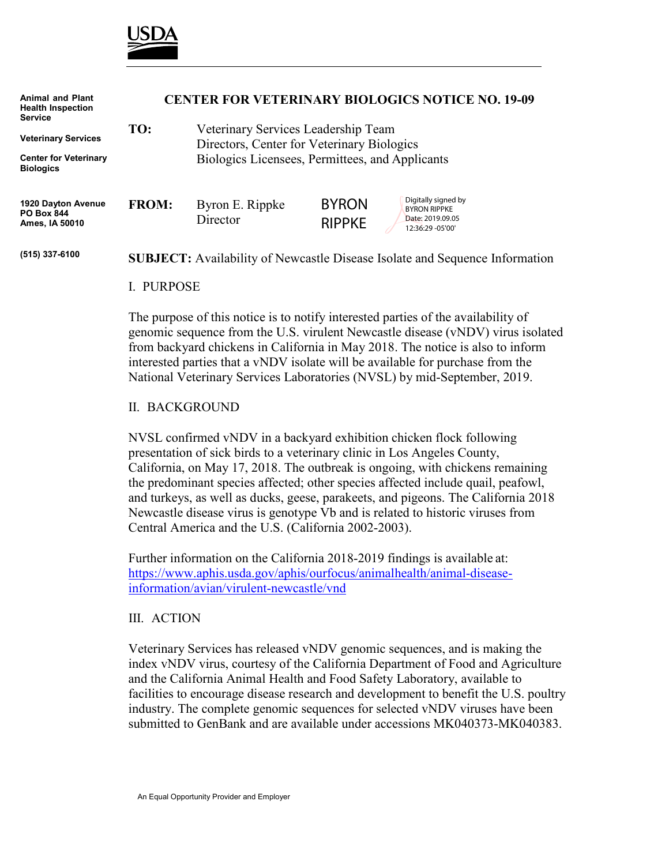

| <b>Animal and Plant</b><br><b>Health Inspection</b><br><b>Service</b> | <b>CENTER FOR VETERINARY BIOLOGICS NOTICE NO. 19-09</b> |                                                                                                                                      |                               |                                                                                     |
|-----------------------------------------------------------------------|---------------------------------------------------------|--------------------------------------------------------------------------------------------------------------------------------------|-------------------------------|-------------------------------------------------------------------------------------|
| <b>Veterinary Services</b>                                            | TO:                                                     | Veterinary Services Leadership Team<br>Directors, Center for Veterinary Biologics<br>Biologics Licensees, Permittees, and Applicants |                               |                                                                                     |
| <b>Center for Veterinary</b><br><b>Biologics</b>                      |                                                         |                                                                                                                                      |                               |                                                                                     |
| 1920 Dayton Avenue<br><b>PO Box 844</b><br>Ames, IA 50010             | <b>FROM:</b>                                            | Byron E. Rippke<br>Director                                                                                                          | <b>BYRON</b><br><b>RIPPKE</b> | Digitally signed by<br><b>BYRON RIPPKE</b><br>Date: 2019.09.05<br>12:36:29 - 05'00' |
| (515) 337-6100                                                        |                                                         |                                                                                                                                      |                               | <b>SUBJECT:</b> Availability of Newcastle Disease Isolate and Sequence Information  |

#### I. PURPOSE

The purpose of this notice is to notify interested parties of the availability of genomic sequence from the U.S. virulent Newcastle disease (vNDV) virus isolated from backyard chickens in California in May 2018. The notice is also to inform interested parties that a vNDV isolate will be available for purchase from the National Veterinary Services Laboratories (NVSL) by mid-September, 2019.

### II. BACKGROUND

NVSL confirmed vNDV in a backyard exhibition chicken flock following presentation of sick birds to a veterinary clinic in Los Angeles County, California, on May 17, 2018. The outbreak is ongoing, with chickens remaining the predominant species affected; other species affected include quail, peafowl, and turkeys, as well as ducks, geese, parakeets, and pigeons. The California 2018 Newcastle disease virus is genotype Vb and is related to historic viruses from Central America and the U.S. (California 2002-2003).

Further information on the California 2018-2019 findings is available at: [https://www.aphis.usda.gov/aphis/ourfocus/animalhealth/animal-disease](https://www.aphis.usda.gov/aphis/ourfocus/animalhealth/animal-disease-information/avian/virulent-newcastle/vnd)[information/avian/virulent-newcastle/vnd](https://www.aphis.usda.gov/aphis/ourfocus/animalhealth/animal-disease-information/avian/virulent-newcastle/vnd)

### III. ACTION

Veterinary Services has released vNDV genomic sequences, and is making the index vNDV virus, courtesy of the California Department of Food and Agriculture and the California Animal Health and Food Safety Laboratory, available to facilities to encourage disease research and development to benefit the U.S. poultry industry. The complete genomic sequences for selected vNDV viruses have been submitted to GenBank and are available under accessions MK040373-MK040383.